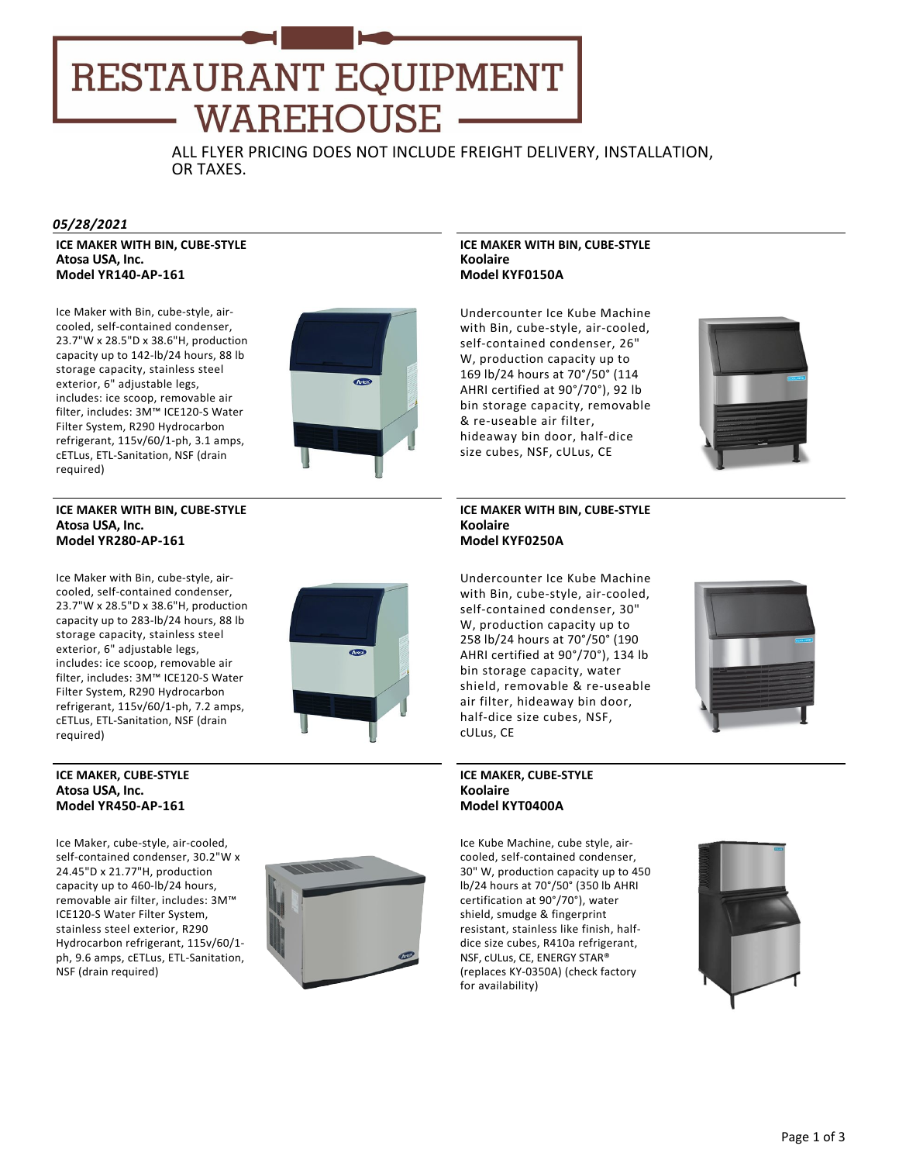# RESTAURANT EQUIPMENT WAREHOUSE

ALL FLYER PRICING DOES NOT INCLUDE FREIGHT DELIVERY, INSTALLATION, OR TAXES.

# *05/28/2021*

**ICE MAKER WITH BIN, CUBE‐STYLE Atosa USA, Inc. Model YR140‐AP‐161**

Ice Maker with Bin, cube‐style, air‐ cooled, self‐contained condenser, 23.7"W x 28.5"D x 38.6"H, production capacity up to 142‐lb/24 hours, 88 lb storage capacity, stainless steel exterior, 6" adjustable legs, includes: ice scoop, removable air filter, includes: 3M™ ICE120‐S Water Filter System, R290 Hydrocarbon refrigerant, 115v/60/1‐ph, 3.1 amps, cETLus, ETL‐Sanitation, NSF (drain required)



# **ICE MAKER WITH BIN, CUBE‐STYLE Atosa USA, Inc. Model YR280‐AP‐161**

Ice Maker with Bin, cube‐style, air‐ cooled, self‐contained condenser, 23.7"W x 28.5"D x 38.6"H, production capacity up to 283‐lb/24 hours, 88 lb storage capacity, stainless steel exterior, 6" adjustable legs, includes: ice scoop, removable air filter, includes: 3M™ ICE120‐S Water Filter System, R290 Hydrocarbon refrigerant, 115v/60/1‐ph, 7.2 amps, cETLus, ETL‐Sanitation, NSF (drain required)



# **ICE MAKER, CUBE‐STYLE Atosa USA, Inc. Model YR450‐AP‐161**

Ice Maker, cube‐style, air‐cooled, self-contained condenser, 30.2"W x 24.45"D x 21.77"H, production capacity up to 460‐lb/24 hours, removable air filter, includes: 3M™ ICE120‐S Water Filter System, stainless steel exterior, R290 Hydrocarbon refrigerant, 115v/60/1‐ ph, 9.6 amps, cETLus, ETL‐Sanitation, NSF (drain required)



# **ICE MAKER WITH BIN, CUBE‐STYLE Koolaire Model KYF0150A**

Undercounter Ice Kube Machine with Bin, cube‐style, air‐cooled, self-contained condenser, 26" W, production capacity up to 169 lb/24 hours at 70°/50° (114 AHRI certified at 90°/70°), 92 lb bin storage capacity, removable & re‐useable air filter, hideaway bin door, half‐dice size cubes, NSF, cULus, CE



## **ICE MAKER WITH BIN, CUBE‐STYLE Koolaire Model KYF0250A**

Undercounter Ice Kube Machine with Bin, cube‐style, air‐cooled, self‐contained condenser, 30" W, production capacity up to 258 lb/24 hours at 70°/50° (190 AHRI certified at 90°/70°), 134 lb bin storage capacity, water shield, removable & re‐useable air filter, hideaway bin door, half‐dice size cubes, NSF, cULus, CE

# **ICE MAKER, CUBE‐STYLE Koolaire Model KYT0400A**

Ice Kube Machine, cube style, air‐ cooled, self‐contained condenser, 30" W, production capacity up to 450 lb/24 hours at 70°/50° (350 lb AHRI certification at 90°/70°), water shield, smudge & fingerprint resistant, stainless like finish, half‐ dice size cubes, R410a refrigerant, NSF, cULus, CE, ENERGY STAR® (replaces KY‐0350A) (check factory for availability)

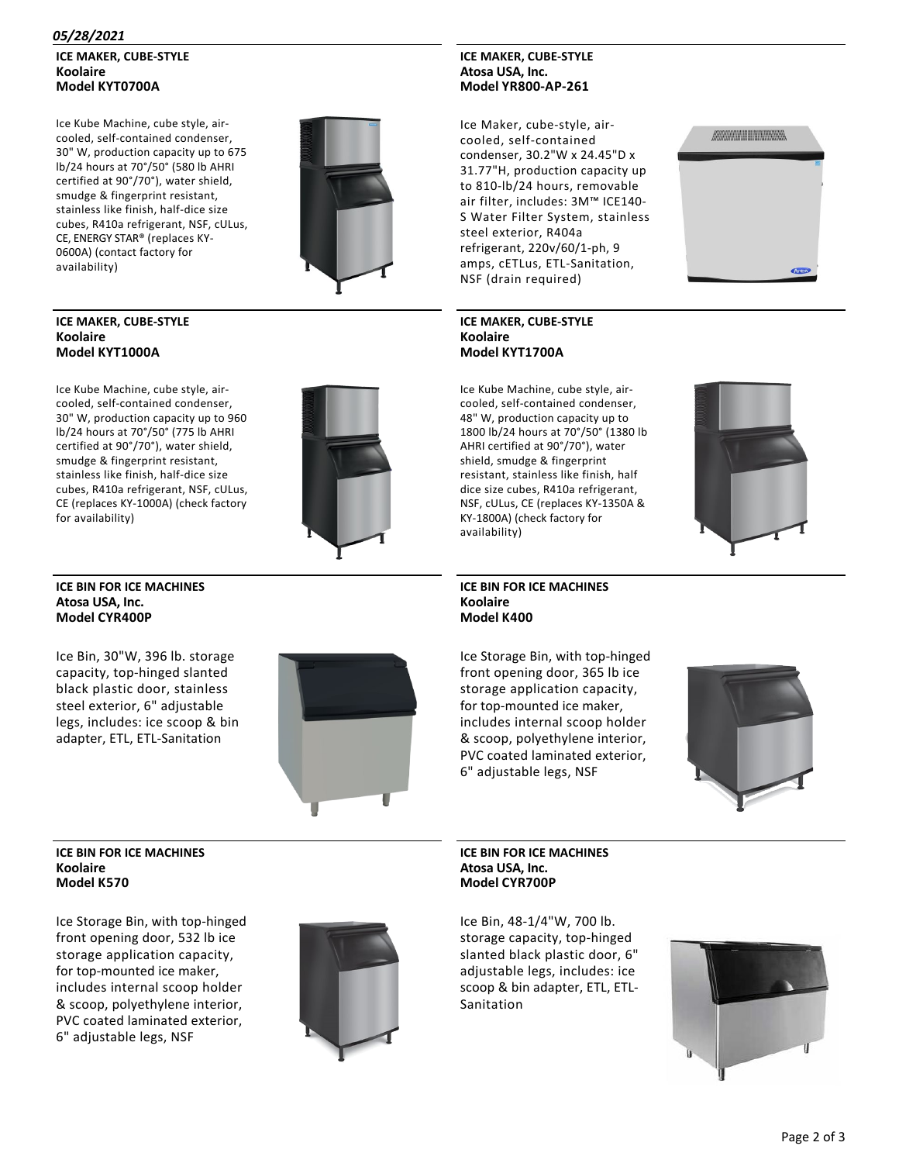# *05/28/2021*

# **ICE MAKER, CUBE‐STYLE Koolaire Model KYT0700A**

Ice Kube Machine, cube style, air‐ cooled, self‐contained condenser, 30" W, production capacity up to 675 lb/24 hours at 70°/50° (580 lb AHRI certified at 90°/70°), water shield, smudge & fingerprint resistant, stainless like finish, half‐dice size cubes, R410a refrigerant, NSF, cULus, CE, ENERGY STAR® (replaces KY‐ 0600A) (contact factory for availability)



# **ICE MAKER, CUBE‐STYLE Koolaire Model KYT1000A**

Ice Kube Machine, cube style, air‐ cooled, self‐contained condenser, 30" W, production capacity up to 960 lb/24 hours at 70°/50° (775 lb AHRI certified at 90°/70°), water shield, smudge & fingerprint resistant, stainless like finish, half‐dice size cubes, R410a refrigerant, NSF, cULus, CE (replaces KY‐1000A) (check factory for availability)

# **ICE BIN FOR ICE MACHINES Atosa USA, Inc. Model CYR400P**

Ice Bin, 30"W, 396 lb. storage capacity, top‐hinged slanted black plastic door, stainless steel exterior, 6" adjustable legs, includes: ice scoop & bin adapter, ETL, ETL‐Sanitation



# **ICE BIN FOR ICE MACHINES Koolaire Model K570**

Ice Storage Bin, with top‐hinged front opening door, 532 lb ice storage application capacity, for top‐mounted ice maker, includes internal scoop holder & scoop, polyethylene interior, PVC coated laminated exterior, 6" adjustable legs, NSF



# **ICE MAKER, CUBE‐STYLE Atosa USA, Inc. Model YR800‐AP‐261**

Ice Maker, cube‐style, air‐ cooled, self‐contained condenser, 30.2"W x 24.45"D x 31.77"H, production capacity up to 810‐lb/24 hours, removable air filter, includes: 3M™ ICE140‐ S Water Filter System, stainless steel exterior, R404a refrigerant, 220v/60/1‐ph, 9 amps, cETLus, ETL‐Sanitation, NSF (drain required)

# 

# **ICE MAKER, CUBE‐STYLE Koolaire Model KYT1700A**

Ice Kube Machine, cube style, air‐ cooled, self‐contained condenser, 48" W, production capacity up to 1800 lb/24 hours at 70°/50° (1380 lb AHRI certified at 90°/70°), water shield, smudge & fingerprint resistant, stainless like finish, half dice size cubes, R410a refrigerant, NSF, cULus, CE (replaces KY‐1350A & KY‐1800A) (check factory for availability)

**ICE BIN FOR ICE MACHINES Koolaire Model K400**

Ice Storage Bin, with top‐hinged front opening door, 365 lb ice storage application capacity, for top‐mounted ice maker, includes internal scoop holder & scoop, polyethylene interior, PVC coated laminated exterior, 6" adjustable legs, NSF



# **ICE BIN FOR ICE MACHINES Atosa USA, Inc. Model CYR700P**

Ice Bin, 48‐1/4"W, 700 lb. storage capacity, top‐hinged slanted black plastic door, 6" adjustable legs, includes: ice scoop & bin adapter, ETL, ETL‐ Sanitation